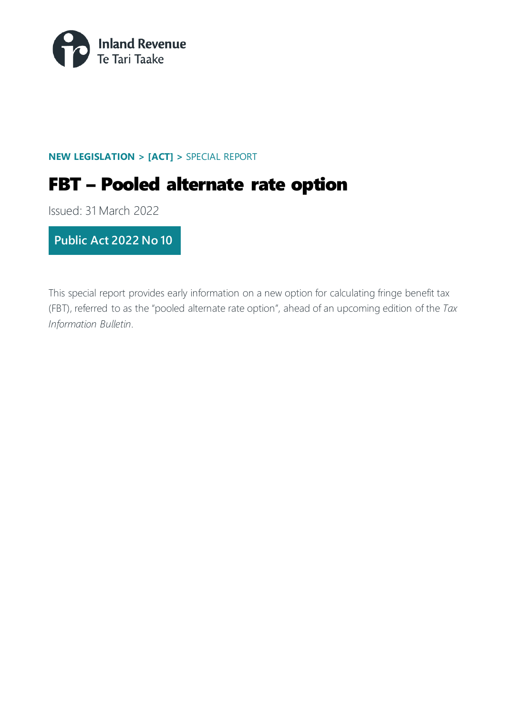

## **NEW LEGISLATION > [ACT] >** SPECIAL REPORT

# FBT – Pooled alternate rate option

Issued: 31 March 2022

**Public Act 2022 No 10**

This special report provides early information on a new option for calculating fringe benefit tax (FBT), referred to as the "pooled alternate rate option", ahead of an upcoming edition of the *Tax Information Bulletin*.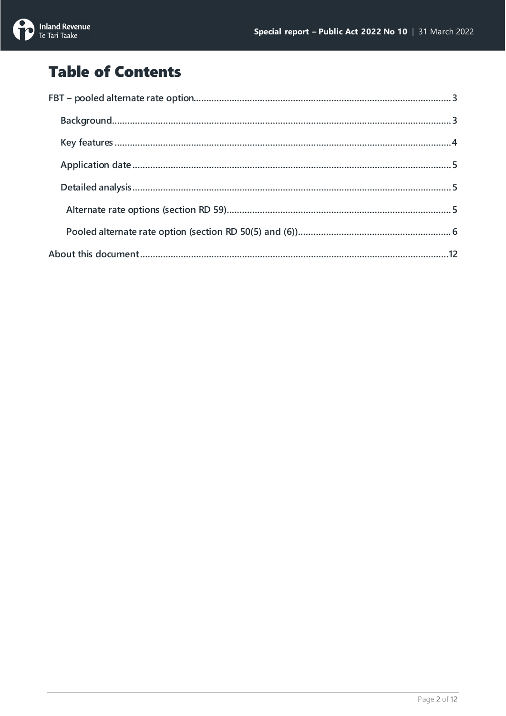

# **Table of Contents**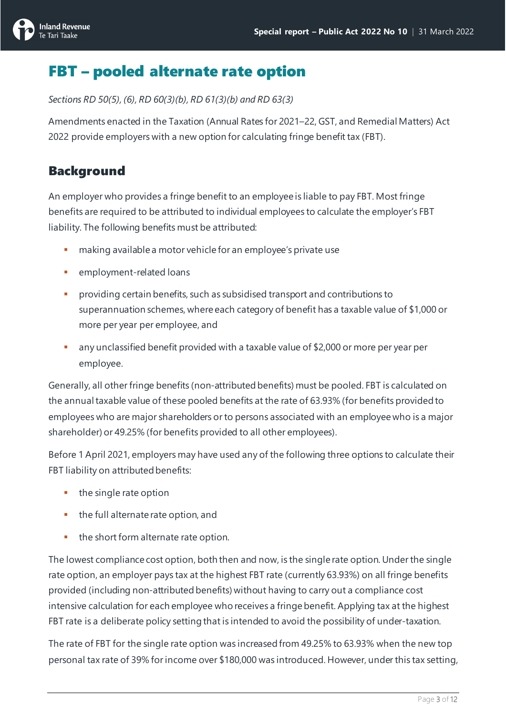

# <span id="page-2-0"></span>FBT – pooled alternate rate option

*Sections RD 50(5), (6), RD 60(3)(b), RD 61(3)(b) and RD 63(3)*

Amendments enacted in the Taxation (Annual Rates for 2021–22, GST, and Remedial Matters) Act 2022 provide employers with a new option for calculating fringe benefit tax (FBT).

## <span id="page-2-1"></span>Background

An employer who provides a fringe benefit to an employee is liable to pay FBT. Most fringe benefits are required to be attributed to individual employees to calculate the employer's FBT liability. The following benefits must be attributed:

- making available a motor vehicle for an employee's private use
- employment-related loans
- providing certain benefits, such as subsidised transport and contributions to superannuation schemes, where each category of benefit has a taxable value of \$1,000 or more per year per employee, and
- any unclassified benefit provided with a taxable value of \$2,000 or more per year per employee.

Generally, all other fringe benefits (non-attributed benefits) must be pooled. FBT is calculated on the annual taxable value of these pooled benefits at the rate of 63.93% (for benefits provided to employees who are major shareholders or to persons associated with an employee who is a major shareholder) or 49.25% (for benefits provided to all other employees).

Before 1 April 2021, employers may have used any of the following three options to calculate their FBT liability on attributed benefits:

- $\blacksquare$  the single rate option
- **the full alternate rate option, and**
- **the short form alternate rate option.**

The lowest compliance cost option, both then and now, is the single rate option. Under the single rate option, an employer pays tax at the highest FBT rate (currently 63.93%) on all fringe benefits provided (including non-attributed benefits) without having to carry out a compliance cost intensive calculation for each employee who receives a fringe benefit. Applying tax at the highest FBT rate is a deliberate policy setting that is intended to avoid the possibility of under-taxation.

The rate of FBT for the single rate option was increased from 49.25% to 63.93% when the new top personal tax rate of 39% for income over \$180,000 was introduced. However, under this tax setting,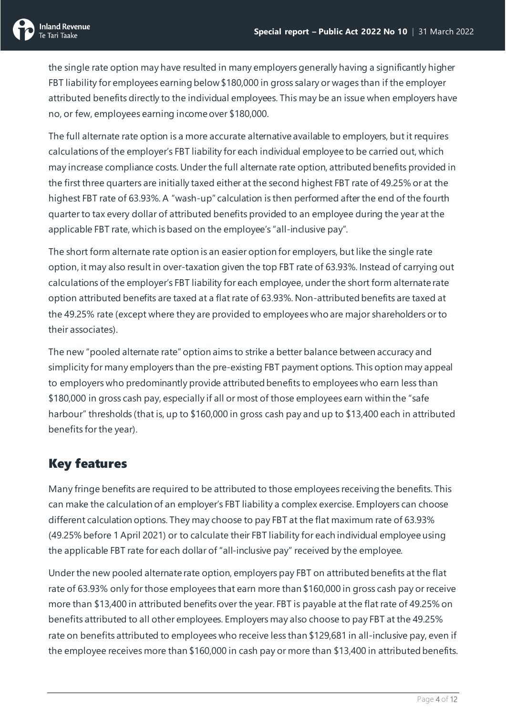

the single rate option may have resulted in many employers generally having a significantly higher FBT liability for employees earning below \$180,000 in gross salary or wages than if the employer attributed benefits directly to the individual employees. This may be an issue when employers have no, or few, employees earning income over \$180,000.

The full alternate rate option is a more accurate alternative available to employers, but it requires calculations of the employer's FBT liability for each individual employee to be carried out, which may increase compliance costs. Under the full alternate rate option, attributed benefits provided in the first three quarters are initially taxed either at the second highest FBT rate of 49.25% or at the highest FBT rate of 63.93%. A "wash-up" calculation is then performed after the end of the fourth quarter to tax every dollar of attributed benefits provided to an employee during the year at the applicable FBT rate, which is based on the employee's "all-inclusive pay".

The short form alternate rate option is an easier option for employers, but like the single rate option, it may also result in over-taxation given the top FBT rate of 63.93%. Instead of carrying out calculations of the employer's FBT liability for each employee, under the short form alternate rate option attributed benefits are taxed at a flat rate of 63.93%. Non-attributed benefits are taxed at the 49.25% rate (except where they are provided to employees who are major shareholders or to their associates).

The new "pooled alternate rate" option aims to strike a better balance between accuracy and simplicity for many employers than the pre-existing FBT payment options. This option may appeal to employers who predominantly provide attributed benefits to employees who earn less than \$180,000 in gross cash pay, especially if all or most of those employees earn within the "safe harbour" thresholds (that is, up to \$160,000 in gross cash pay and up to \$13,400 each in attributed benefits for the year).

# <span id="page-3-0"></span>Key features

Many fringe benefits are required to be attributed to those employees receiving the benefits. This can make the calculation of an employer's FBT liability a complex exercise. Employers can choose different calculation options. They may choose to pay FBT at the flat maximum rate of 63.93% (49.25% before 1 April 2021) or to calculate their FBT liability for each individual employee using the applicable FBT rate for each dollar of "all-inclusive pay" received by the employee.

Under the new pooled alternate rate option, employers pay FBT on attributed benefits at the flat rate of 63.93% only for those employees that earn more than \$160,000 in gross cash pay or receive more than \$13,400 in attributed benefits over the year. FBT is payable at the flat rate of 49.25% on benefits attributed to all other employees. Employers may also choose to pay FBT at the 49.25% rate on benefits attributed to employees who receive less than \$129,681 in all-inclusive pay, even if the employee receives more than \$160,000 in cash pay or more than \$13,400 in attributed benefits.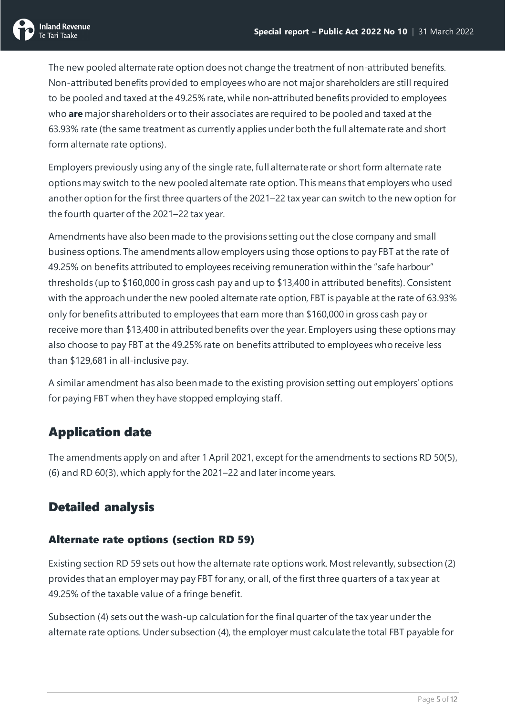

The new pooled alternate rate option does not change the treatment of non-attributed benefits. Non-attributed benefits provided to employees who are not major shareholders are still required to be pooled and taxed at the 49.25% rate, while non-attributed benefits provided to employees who **are** major shareholders or to their associates are required to be pooled and taxed at the 63.93% rate (the same treatment as currently applies under both the full alternate rate and short form alternate rate options).

Employers previously using any of the single rate, full alternate rate or short form alternate rate options may switch to the new pooled alternate rate option. This means that employers who used another option for the first three quarters of the 2021–22 tax year can switch to the new option for the fourth quarter of the 2021–22 tax year.

Amendments have also been made to the provisions setting out the close company and small business options. The amendments allow employers using those options to pay FBT at the rate of 49.25% on benefits attributed to employees receiving remuneration within the "safe harbour" thresholds (up to \$160,000 in gross cash pay and up to \$13,400 in attributed benefits). Consistent with the approach under the new pooled alternate rate option, FBT is payable at the rate of 63.93% only for benefits attributed to employees that earn more than \$160,000 in gross cash pay or receive more than \$13,400 in attributed benefits over the year. Employers using these options may also choose to pay FBT at the 49.25% rate on benefits attributed to employees who receive less than \$129,681 in all-inclusive pay.

A similar amendment has also been made to the existing provision setting out employers' options for paying FBT when they have stopped employing staff.

# <span id="page-4-0"></span>Application date

The amendments apply on and after 1 April 2021, except for the amendments to sections RD 50(5), (6) and RD 60(3), which apply for the 2021–22 and later income years.

# <span id="page-4-1"></span>Detailed analysis

## <span id="page-4-2"></span>Alternate rate options (section RD 59)

Existing section RD 59 sets out how the alternate rate options work. Most relevantly, subsection (2) provides that an employer may pay FBT for any, or all, of the first three quarters of a tax year at 49.25% of the taxable value of a fringe benefit.

Subsection (4) sets out the wash-up calculation for the final quarter of the tax year under the alternate rate options. Under subsection (4), the employer must calculate the total FBT payable for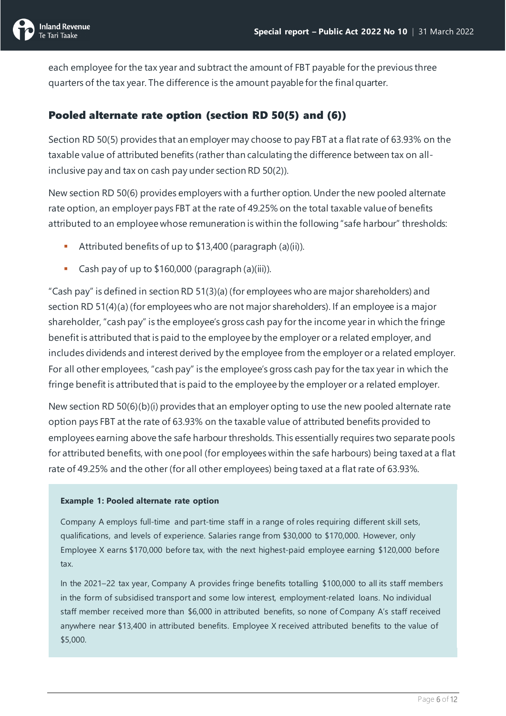

each employee for the tax year and subtract the amount of FBT payable for the previous three quarters of the tax year. The difference is the amount payable for the final quarter.

### <span id="page-5-0"></span>Pooled alternate rate option (section RD 50(5) and (6))

Section RD 50(5) provides that an employer may choose to pay FBT at a flat rate of 63.93% on the taxable value of attributed benefits (rather than calculating the difference between tax on allinclusive pay and tax on cash pay under section RD 50(2)).

New section RD 50(6) provides employers with a further option. Under the new pooled alternate rate option, an employer pays FBT at the rate of 49.25% on the total taxable value of benefits attributed to an employee whose remuneration is within the following "safe harbour" thresholds:

- Attributed benefits of up to \$13,400 (paragraph (a)(ii)).
- Cash pay of up to \$160,000 (paragraph (a)(iii)).

"Cash pay" is defined in section RD 51(3)(a) (for employees who are major shareholders) and section RD 51(4)(a) (for employees who are not major shareholders). If an employee is a major shareholder, "cash pay" is the employee's gross cash pay for the income year in which the fringe benefit is attributed that is paid to the employee by the employer or a related employer, and includes dividends and interest derived by the employee from the employer or a related employer. For all other employees, "cash pay" is the employee's gross cash pay for the tax year in which the fringe benefit is attributed that is paid to the employee by the employer or a related employer.

New section RD 50(6)(b)(i) provides that an employer opting to use the new pooled alternate rate option pays FBT at the rate of 63.93% on the taxable value of attributed benefits provided to employees earning above the safe harbour thresholds. This essentially requires two separate pools for attributed benefits, with one pool (for employees within the safe harbours) being taxed at a flat rate of 49.25% and the other (for all other employees) being taxed at a flat rate of 63.93%.

#### **Example 1: Pooled alternate rate option**

Company A employs full-time and part-time staff in a range of roles requiring different skill sets, qualifications, and levels of experience. Salaries range from \$30,000 to \$170,000. However, only Employee X earns \$170,000 before tax, with the next highest-paid employee earning \$120,000 before tax.

In the 2021–22 tax year, Company A provides fringe benefits totalling \$100,000 to all its staff members in the form of subsidised transport and some low interest, employment-related loans. No individual staff member received more than \$6,000 in attributed benefits, so none of Company A's staff received anywhere near \$13,400 in attributed benefits. Employee X received attributed benefits to the value of \$5,000.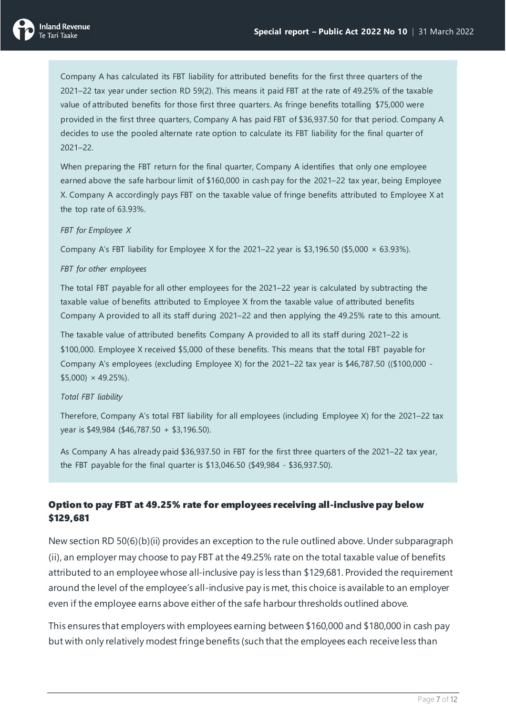

Company A has calculated its FBT liability for attributed benefits for the first three quarters of the 2021–22 tax year under section RD 59(2). This means it paid FBT at the rate of 49.25% of the taxable value of attributed benefits for those first three quarters. As fringe benefits totalling \$75,000 were provided in the first three quarters, Company A has paid FBT of \$36,937.50 for that period. Company A decides to use the pooled alternate rate option to calculate its FBT liability for the final quarter of 2021–22.

When preparing the FBT return for the final quarter, Company A identifies that only one employee earned above the safe harbour limit of \$160,000 in cash pay for the 2021–22 tax year, being Employee X. Company A accordingly pays FBT on the taxable value of fringe benefits attributed to Employee X at the top rate of 63.93%.

#### *FBT for Employee X*

Company A's FBT liability for Employee X for the 2021–22 year is  $$3,196.50$  (\$5,000  $\times$  63.93%).

#### *FBT for other employees*

The total FBT payable for all other employees for the 2021–22 year is calculated by subtracting the taxable value of benefits attributed to Employee X from the taxable value of attributed benefits Company A provided to all its staff during 2021–22 and then applying the 49.25% rate to this amount.

The taxable value of attributed benefits Company A provided to all its staff during 2021–22 is \$100,000. Employee X received \$5,000 of these benefits. This means that the total FBT payable for Company A's employees (excluding Employee X) for the 2021–22 tax year is \$46,787.50 ((\$100,000 -  $$5,000) \times 49.25\%$ ).

#### *Total FBT liability*

Therefore, Company A's total FBT liability for all employees (including Employee X) for the 2021–22 tax year is \$49,984 (\$46,787.50 + \$3,196.50).

As Company A has already paid \$36,937.50 in FBT for the first three quarters of the 2021–22 tax year, the FBT payable for the final quarter is \$13,046.50 (\$49,984 - \$36,937.50).

### Option to pay FBT at 49.25% rate for employees receiving all-inclusive pay below \$129,681

New section RD 50(6)(b)(ii) provides an exception to the rule outlined above. Under subparagraph (ii), an employer may choose to pay FBT at the 49.25% rate on the total taxable value of benefits attributed to an employee whose all-inclusive pay is less than \$129,681. Provided the requirement around the level of the employee's all-inclusive pay is met, this choice is available to an employer even if the employee earns above either of the safe harbour thresholds outlined above.

This ensures that employers with employees earning between \$160,000 and \$180,000 in cash pay but with only relatively modest fringe benefits (such that the employees each receive less than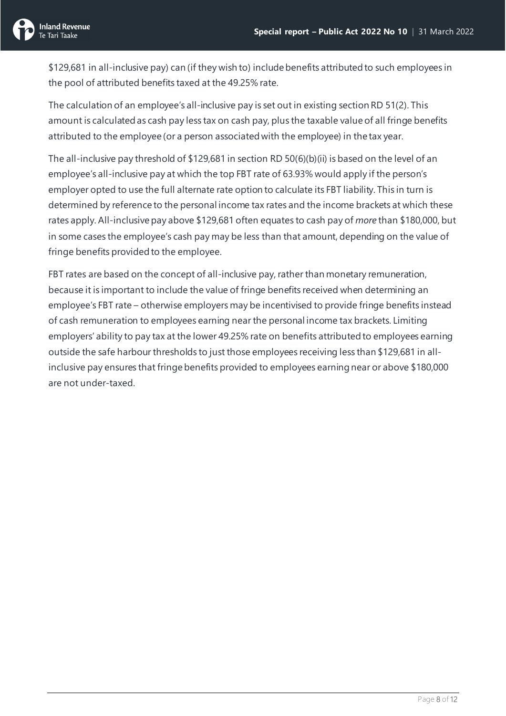

\$129,681 in all-inclusive pay) can (if they wish to) include benefits attributed to such employees in the pool of attributed benefits taxed at the 49.25% rate.

The calculation of an employee's all-inclusive pay is set out in existing section RD 51(2). This amount is calculated as cash pay less tax on cash pay, plus the taxable value of all fringe benefits attributed to the employee (or a person associated with the employee) in the tax year.

The all-inclusive pay threshold of \$129,681 in section RD 50(6)(b)(ii) is based on the level of an employee's all-inclusive pay at which the top FBT rate of 63.93% would apply if the person's employer opted to use the full alternate rate option to calculate its FBT liability. This in turn is determined by reference to the personal income tax rates and the income brackets at which these rates apply. All-inclusive pay above \$129,681 often equates to cash pay of *more* than \$180,000, but in some cases the employee's cash pay may be less than that amount, depending on the value of fringe benefits provided to the employee.

FBT rates are based on the concept of all-inclusive pay, rather than monetary remuneration, because it is important to include the value of fringe benefits received when determining an employee's FBT rate – otherwise employers may be incentivised to provide fringe benefits instead of cash remuneration to employees earning near the personal income tax brackets. Limiting employers' ability to pay tax at the lower 49.25% rate on benefits attributed to employees earning outside the safe harbour thresholds to just those employees receiving less than \$129,681 in allinclusive pay ensures that fringe benefits provided to employees earning near or above \$180,000 are not under-taxed.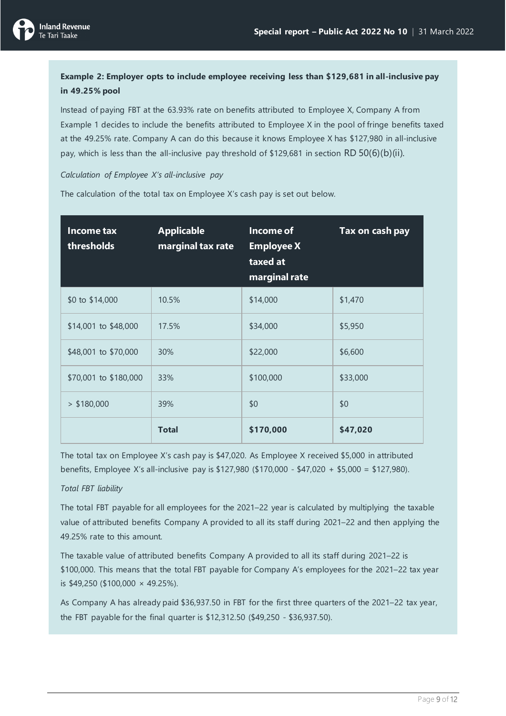

### **Example 2: Employer opts to include employee receiving less than \$129,681 in all-inclusive pay in 49.25% pool**

Instead of paying FBT at the 63.93% rate on benefits attributed to Employee X, Company A from Example 1 decides to include the benefits attributed to Employee X in the pool of fringe benefits taxed at the 49.25% rate. Company A can do this because it knows Employee X has \$127,980 in all-inclusive pay, which is less than the all-inclusive pay threshold of \$129,681 in section RD 50(6)(b)(ii).

#### *Calculation of Employee X's all-inclusive pay*

The calculation of the total tax on Employee X's cash pay is set out below.

| Income tax<br>thresholds | <b>Applicable</b><br>marginal tax rate | Income of<br><b>Employee X</b><br>taxed at<br>marginal rate | Tax on cash pay |
|--------------------------|----------------------------------------|-------------------------------------------------------------|-----------------|
| \$0 to \$14,000          | 10.5%                                  | \$14,000                                                    | \$1,470         |
| \$14,001 to \$48,000     | 17.5%                                  | \$34,000                                                    | \$5,950         |
| \$48,001 to \$70,000     | 30%                                    | \$22,000                                                    | \$6,600         |
| \$70,001 to \$180,000    | 33%                                    | \$100,000                                                   | \$33,000        |
| $>$ \$180,000            | 39%                                    | \$0                                                         | \$0             |
|                          | <b>Total</b>                           | \$170,000                                                   | \$47,020        |

The total tax on Employee X's cash pay is \$47,020. As Employee X received \$5,000 in attributed benefits, Employee X's all-inclusive pay is \$127,980 (\$170,000 - \$47,020 + \$5,000 = \$127,980).

#### *Total FBT liability*

The total FBT payable for all employees for the 2021–22 year is calculated by multiplying the taxable value of attributed benefits Company A provided to all its staff during 2021–22 and then applying the 49.25% rate to this amount.

The taxable value of attributed benefits Company A provided to all its staff during 2021–22 is \$100,000. This means that the total FBT payable for Company A's employees for the 2021–22 tax year is \$49,250 (\$100,000 × 49.25%).

As Company A has already paid \$36,937.50 in FBT for the first three quarters of the 2021–22 tax year, the FBT payable for the final quarter is \$12,312.50 (\$49,250 - \$36,937.50).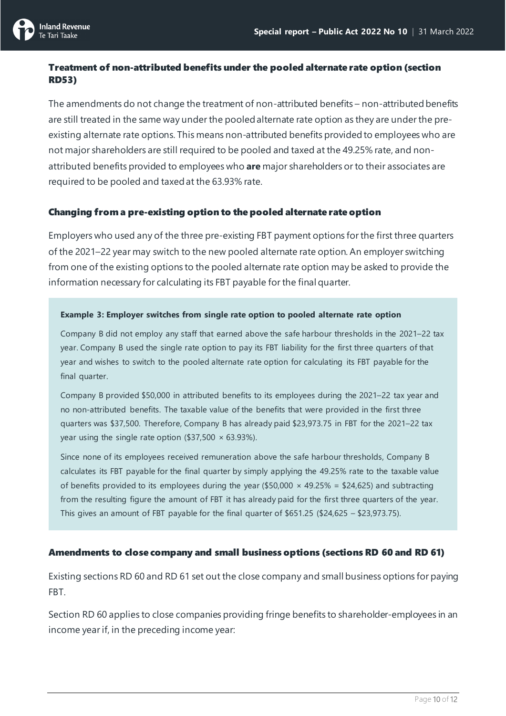

### Treatment of non-attributed benefits under the pooled alternate rate option (section RD53)

The amendments do not change the treatment of non-attributed benefits – non-attributed benefits are still treated in the same way under the pooled alternate rate option as they are under the preexisting alternate rate options. This means non-attributed benefits provided to employees who are not major shareholders are still required to be pooled and taxed at the 49.25% rate, and nonattributed benefits provided to employees who **are** major shareholders or to their associates are required to be pooled and taxed at the 63.93% rate.

#### Changing from a pre-existing option to the pooled alternate rate option

Employers who used any of the three pre-existing FBT payment options for the first three quarters of the 2021–22 year may switch to the new pooled alternate rate option. An employer switching from one of the existing options to the pooled alternate rate option may be asked to provide the information necessary for calculating its FBT payable for the final quarter.

#### **Example 3: Employer switches from single rate option to pooled alternate rate option**

Company B did not employ any staff that earned above the safe harbour thresholds in the 2021–22 tax year. Company B used the single rate option to pay its FBT liability for the first three quarters of that year and wishes to switch to the pooled alternate rate option for calculating its FBT payable for the final quarter.

Company B provided \$50,000 in attributed benefits to its employees during the 2021–22 tax year and no non-attributed benefits. The taxable value of the benefits that were provided in the first three quarters was \$37,500. Therefore, Company B has already paid \$23,973.75 in FBT for the 2021–22 tax year using the single rate option (\$37,500  $\times$  63.93%).

Since none of its employees received remuneration above the safe harbour thresholds, Company B calculates its FBT payable for the final quarter by simply applying the 49.25% rate to the taxable value of benefits provided to its employees during the year (\$50,000  $\times$  49.25% = \$24,625) and subtracting from the resulting figure the amount of FBT it has already paid for the first three quarters of the year. This gives an amount of FBT payable for the final quarter of \$651.25 (\$24,625 – \$23,973.75).

#### Amendments to close company and small business options (sections RD 60 and RD 61)

Existing sections RD 60 and RD 61 set out the close company and small business options for paying FBT.

Section RD 60 applies to close companies providing fringe benefits to shareholder-employees in an income year if, in the preceding income year: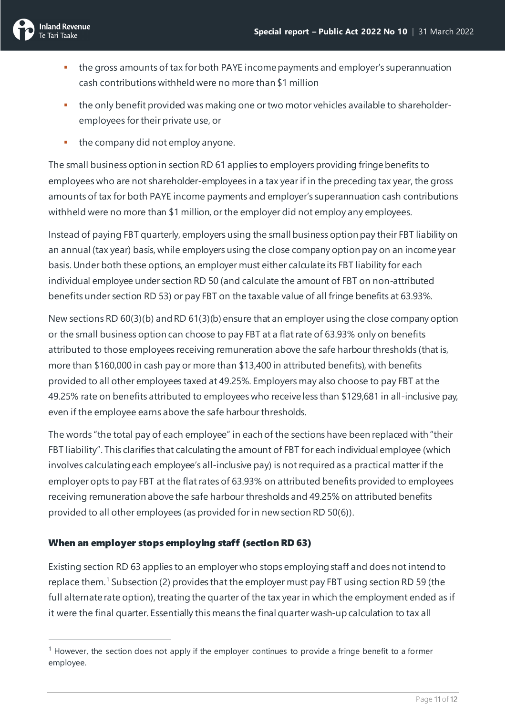

- the gross amounts of tax for both PAYE income payments and employer's superannuation cash contributions withheld were no more than \$1 million
- the only benefit provided was making one or two motor vehicles available to shareholderemployees for their private use, or
- $\blacksquare$  the company did not employ anyone.

The small business option in section RD 61 applies to employers providing fringe benefits to employees who are not shareholder-employees in a tax year if in the preceding tax year, the gross amounts of tax for both PAYE income payments and employer's superannuation cash contributions withheld were no more than \$1 million, or the employer did not employ any employees.

Instead of paying FBT quarterly, employers using the small business option pay their FBT liability on an annual (tax year) basis, while employers using the close company option pay on an income year basis. Under both these options, an employer must either calculate its FBT liability for each individual employee under section RD 50 (and calculate the amount of FBT on non-attributed benefits under section RD 53) or pay FBT on the taxable value of all fringe benefits at 63.93%.

New sections RD 60(3)(b) and RD 61(3)(b) ensure that an employer using the close company option or the small business option can choose to pay FBT at a flat rate of 63.93% only on benefits attributed to those employees receiving remuneration above the safe harbour thresholds (that is, more than \$160,000 in cash pay or more than \$13,400 in attributed benefits), with benefits provided to all other employees taxed at 49.25%. Employers may also choose to pay FBT at the 49.25% rate on benefits attributed to employees who receive less than \$129,681 in all-inclusive pay, even if the employee earns above the safe harbour thresholds.

The words "the total pay of each employee" in each of the sections have been replaced with "their FBT liability". This clarifies that calculating the amount of FBT for each individual employee (which involves calculating each employee's all-inclusive pay) is not required as a practical matter if the employer opts to pay FBT at the flat rates of 63.93% on attributed benefits provided to employees receiving remuneration above the safe harbour thresholds and 49.25% on attributed benefits provided to all other employees (as provided for in new section RD 50(6)).

## When an employer stops employing staff (section RD 63)

Existing section RD 63 applies to an employer who stops employing staff and does not intend to replace them.[1](#page-10-0) Subsection (2) provides that the employer must pay FBT using section RD 59 (the full alternate rate option), treating the quarter of the tax year in which the employment ended as if it were the final quarter. Essentially this means the final quarter wash-up calculation to tax all

<span id="page-10-0"></span><sup>1</sup> However, the section does not apply if the employer continues to provide a fringe benefit to a former employee.